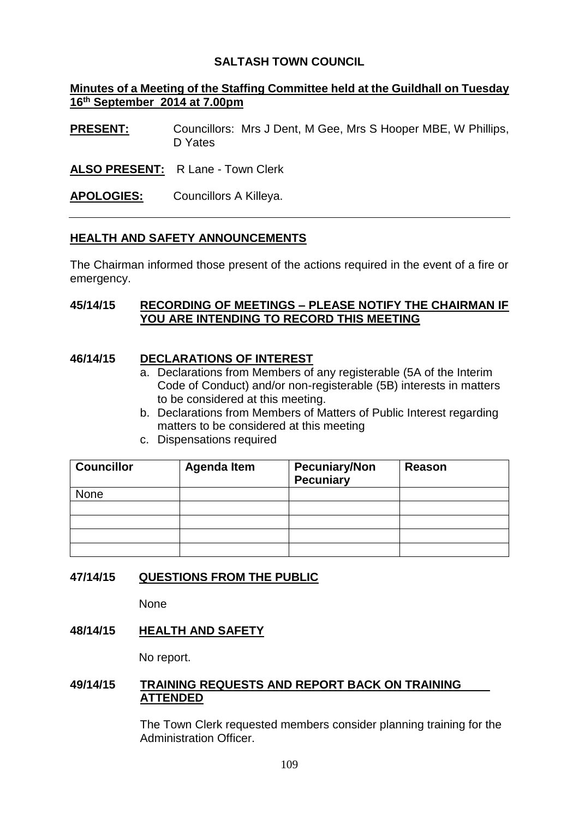# **SALTASH TOWN COUNCIL**

# **Minutes of a Meeting of the Staffing Committee held at the Guildhall on Tuesday 16 th September 2014 at 7.00pm**

**PRESENT:** Councillors: Mrs J Dent, M Gee, Mrs S Hooper MBE, W Phillips, D Yates

# **ALSO PRESENT:** R Lane - Town Clerk

**APOLOGIES:** Councillors A Killeya.

# **HEALTH AND SAFETY ANNOUNCEMENTS**

The Chairman informed those present of the actions required in the event of a fire or emergency.

#### **45/14/15 RECORDING OF MEETINGS – PLEASE NOTIFY THE CHAIRMAN IF YOU ARE INTENDING TO RECORD THIS MEETING**

## **46/14/15 DECLARATIONS OF INTEREST**

- a. Declarations from Members of any registerable (5A of the Interim Code of Conduct) and/or non-registerable (5B) interests in matters to be considered at this meeting.
- b. Declarations from Members of Matters of Public Interest regarding matters to be considered at this meeting
- c. Dispensations required

| <b>Councillor</b> | <b>Agenda Item</b> | <b>Pecuniary/Non</b><br><b>Pecuniary</b> | Reason |
|-------------------|--------------------|------------------------------------------|--------|
| <b>None</b>       |                    |                                          |        |
|                   |                    |                                          |        |
|                   |                    |                                          |        |
|                   |                    |                                          |        |
|                   |                    |                                          |        |

## **47/14/15 QUESTIONS FROM THE PUBLIC**

**None** 

## **48/14/15 HEALTH AND SAFETY**

No report.

#### **49/14/15 TRAINING REQUESTS AND REPORT BACK ON TRAINING ATTENDED**

The Town Clerk requested members consider planning training for the Administration Officer.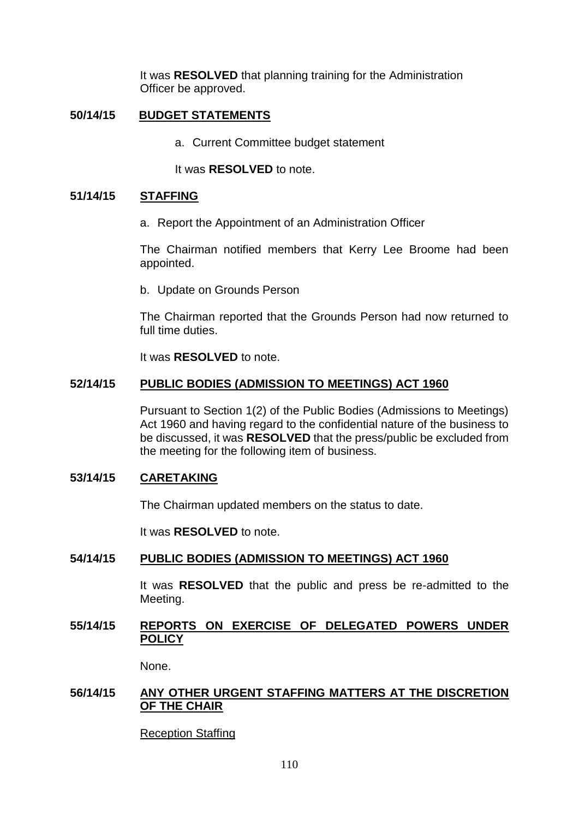It was **RESOLVED** that planning training for the Administration Officer be approved.

# **50/14/15 BUDGET STATEMENTS**

a. Current Committee budget statement

It was **RESOLVED** to note.

#### **51/14/15 STAFFING**

a. Report the Appointment of an Administration Officer

The Chairman notified members that Kerry Lee Broome had been appointed.

b. Update on Grounds Person

The Chairman reported that the Grounds Person had now returned to full time duties.

It was **RESOLVED** to note.

## **52/14/15 PUBLIC BODIES (ADMISSION TO MEETINGS) ACT 1960**

Pursuant to Section 1(2) of the Public Bodies (Admissions to Meetings) Act 1960 and having regard to the confidential nature of the business to be discussed, it was **RESOLVED** that the press/public be excluded from the meeting for the following item of business.

#### **53/14/15 CARETAKING**

The Chairman updated members on the status to date.

It was **RESOLVED** to note.

#### **54/14/15 PUBLIC BODIES (ADMISSION TO MEETINGS) ACT 1960**

It was **RESOLVED** that the public and press be re-admitted to the Meeting.

## **55/14/15 REPORTS ON EXERCISE OF DELEGATED POWERS UNDER POLICY**

None.

## **56/14/15 ANY OTHER URGENT STAFFING MATTERS AT THE DISCRETION OF THE CHAIR**

Reception Staffing